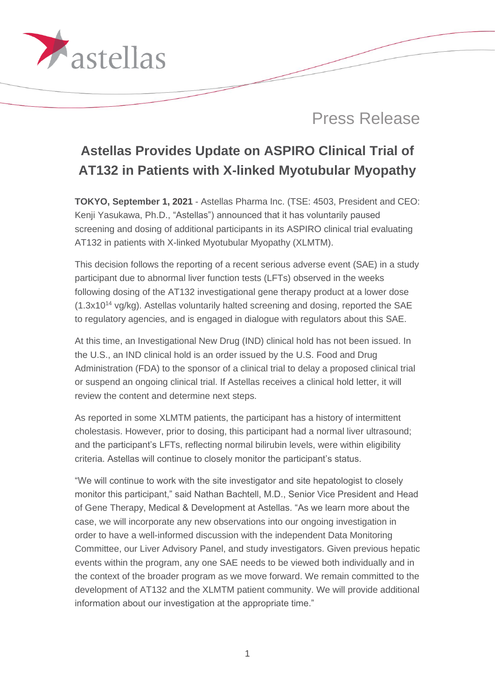

# **Astellas Provides Update on ASPIRO Clinical Trial of AT132 in Patients with X-linked Myotubular Myopathy**

**TOKYO, September 1, 2021** - Astellas Pharma Inc. (TSE: 4503, President and CEO: Kenji Yasukawa, Ph.D., "Astellas") announced that it has voluntarily paused screening and dosing of additional participants in its ASPIRO clinical trial evaluating AT132 in patients with X-linked Myotubular Myopathy (XLMTM).

This decision follows the reporting of a recent serious adverse event (SAE) in a study participant due to abnormal liver function tests (LFTs) observed in the weeks following dosing of the AT132 investigational gene therapy product at a lower dose  $(1.3x10^{14}$  vg/kg). Astellas voluntarily halted screening and dosing, reported the SAE to regulatory agencies, and is engaged in dialogue with regulators about this SAE.

At this time, an Investigational New Drug (IND) clinical hold has not been issued. In the U.S., an IND clinical hold is an order issued by the U.S. Food and Drug Administration (FDA) to the sponsor of a clinical trial to delay a proposed clinical trial or suspend an ongoing clinical trial. If Astellas receives a clinical hold letter, it will review the content and determine next steps.

As reported in some XLMTM patients, the participant has a history of intermittent cholestasis. However, prior to dosing, this participant had a normal liver ultrasound; and the participant's LFTs, reflecting normal bilirubin levels, were within eligibility criteria. Astellas will continue to closely monitor the participant's status.

"We will continue to work with the site investigator and site hepatologist to closely monitor this participant," said Nathan Bachtell, M.D., Senior Vice President and Head of Gene Therapy, Medical & Development at Astellas. "As we learn more about the case, we will incorporate any new observations into our ongoing investigation in order to have a well-informed discussion with the independent Data Monitoring Committee, our Liver Advisory Panel, and study investigators. Given previous hepatic events within the program, any one SAE needs to be viewed both individually and in the context of the broader program as we move forward. We remain committed to the development of AT132 and the XLMTM patient community. We will provide additional information about our investigation at the appropriate time."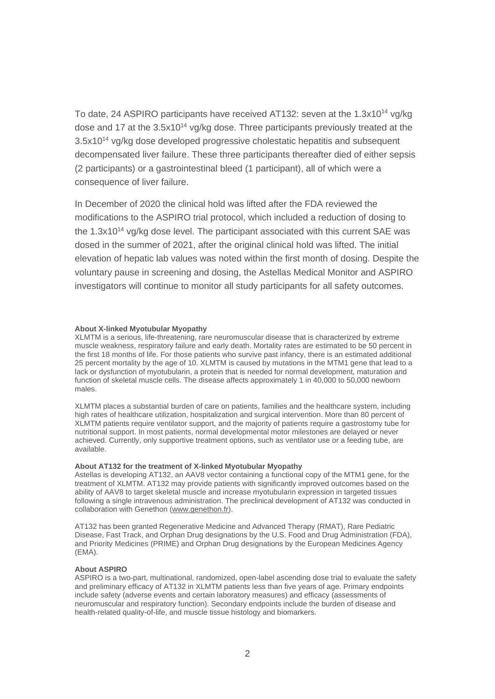To date, 24 ASPIRO participants have received AT132: seven at the 1.3x10<sup>14</sup> va/ka dose and 17 at the  $3.5x10^{14}$  vg/kg dose. Three participants previously treated at the 3.5x10<sup>14</sup> vg/kg dose developed progressive cholestatic hepatitis and subsequent decompensated liver failure. These three participants thereafter died of either sepsis (2 participants) or a gastrointestinal bleed (1 participant), all of which were a consequence of liver failure.

In December of 2020 the clinical hold was lifted after the FDA reviewed the modifications to the ASPIRO trial protocol, which included a reduction of dosing to the 1.3x10<sup>14</sup> vg/kg dose level. The participant associated with this current SAE was dosed in the summer of 2021, after the original clinical hold was lifted. The initial elevation of hepatic lab values was noted within the first month of dosing. Despite the voluntary pause in screening and dosing, the Astellas Medical Monitor and ASPIRO investigators will continue to monitor all study participants for all safety outcomes.

## **About X-linked Myotubular Myopathy**

XLMTM is a serious, life-threatening, rare neuromuscular disease that is characterized by extreme muscle weakness, respiratory failure and early death. Mortality rates are estimated to be 50 percent in the first 18 months of life. For those patients who survive past infancy, there is an estimated additional 25 percent mortality by the age of 10. XLMTM is caused by mutations in the MTM1 gene that lead to a lack or dysfunction of myotubularin, a protein that is needed for normal development, maturation and function of skeletal muscle cells. The disease affects approximately 1 in 40,000 to 50,000 newborn males.

XLMTM places a substantial burden of care on patients, families and the healthcare system, including high rates of healthcare utilization, hospitalization and surgical intervention. More than 80 percent of XLMTM patients require ventilator support, and the majority of patients require a gastrostomy tube for nutritional support. In most patients, normal developmental motor milestones are delayed or never achieved. Currently, only supportive treatment options, such as ventilator use or a feeding tube, are available.

#### **About AT132 for the treatment of X-linked Myotubular Myopathy**

Astellas is developing AT132, an AAV8 vector containing a functional copy of the MTM1 gene, for the treatment of XLMTM. AT132 may provide patients with significantly improved outcomes based on the ability of AAV8 to target skeletal muscle and increase myotubularin expression in targeted tissues following a single intravenous administration. The preclinical development of AT132 was conducted in collaboration with Genethon [\(www.genethon.fr\)](http://www.genethon.fr/).

AT132 has been granted Regenerative Medicine and Advanced Therapy (RMAT), Rare Pediatric Disease, Fast Track, and Orphan Drug designations by the U.S. Food and Drug Administration (FDA), and Priority Medicines (PRIME) and Orphan Drug designations by the European Medicines Agency (EMA).

## **About ASPIRO**

ASPIRO is a two-part, multinational, randomized, open-label ascending dose trial to evaluate the safety and preliminary efficacy of AT132 in XLMTM patients less than five years of age. Primary endpoints include safety (adverse events and certain laboratory measures) and efficacy (assessments of neuromuscular and respiratory function). Secondary endpoints include the burden of disease and health-related quality-of-life, and muscle tissue histology and biomarkers.